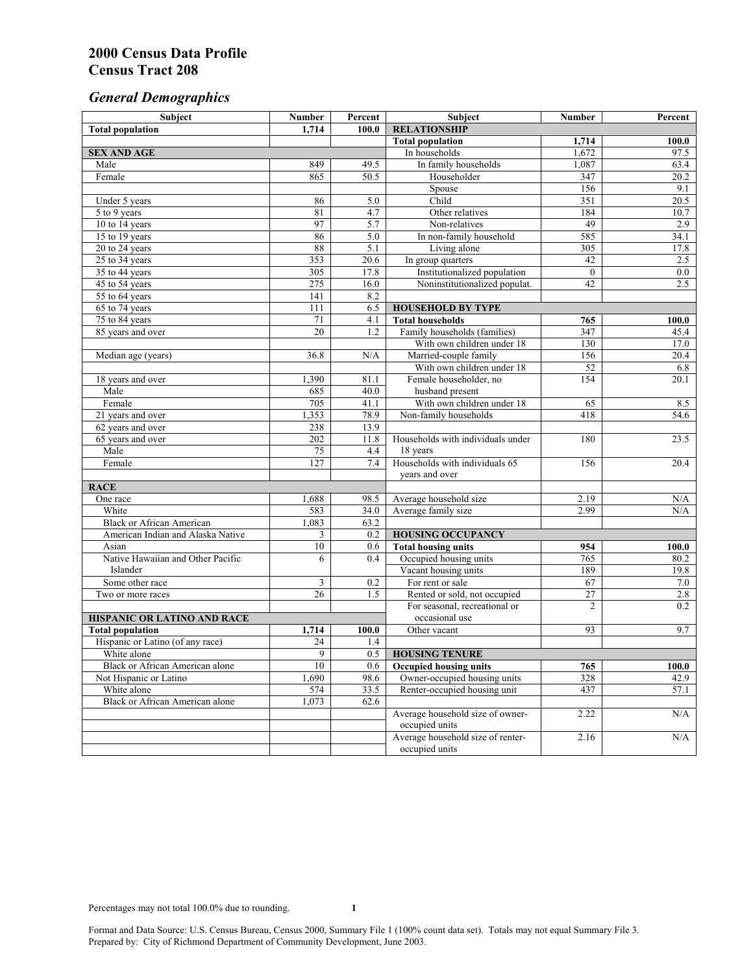# *General Demographics*

| 1,714<br>100.0<br><b>RELATIONSHIP</b><br><b>Total population</b><br><b>Total population</b><br>1,714<br>100.0<br>1,672<br>97.5<br>In households<br><b>SEX AND AGE</b><br>849<br>In family households<br>1,087<br>63.4<br>Male<br>49.5<br>Female<br>865<br>50.5<br>Householder<br>347<br>20.2<br>Spouse<br>156<br>9.1<br>Child<br>351<br>Under 5 years<br>86<br>5.0<br>20.5<br>81<br>$\overline{4.7}$<br>184<br>Other relatives<br>10.7<br>5 to 9 years<br>97<br>10 to 14 years<br>5.7<br>49<br>2.9<br>Non-relatives<br>86<br>15 to 19 years<br>5.0<br>In non-family household<br>585<br>34.1<br>88<br>5.1<br>Living alone<br>305<br>17.8<br>20 to 24 years<br>353<br>$25 \text{ to } 34$ years<br>20.6<br>In group quarters<br>42<br>2.5<br>Institutionalized population<br>305<br>17.8<br>$\theta$<br>0.0<br>35 to 44 years<br>$\overline{275}$<br>42<br>2.5<br>16.0<br>Noninstitutionalized populat.<br>45 to 54 years<br>55 to 64 years<br>141<br>8.2<br>111<br>6.5<br>65 to 74 years<br><b>HOUSEHOLD BY TYPE</b><br>75 to 84 years<br>71<br>4.1<br><b>Total households</b><br>765<br>100.0<br>20<br>85 years and over<br>1.2<br>Family households (families)<br>347<br>45.4<br>With own children under 18<br>130<br>17.0<br>Married-couple family<br>Median age (years)<br>36.8<br>N/A<br>156<br>20.4<br>With own children under 18<br>52<br>6.8<br>1,390<br>Female householder, no<br>154<br>20.1<br>18 years and over<br>81.1<br>husband present<br>Male<br>685<br>40.0<br>With own children under 18<br>Female<br>705<br>41.1<br>65<br>8.5<br>Non-family households<br>21 years and over<br>1,353<br>78.9<br>418<br>54.6<br>238<br>13.9<br>62 years and over<br>202<br>11.8<br>Households with individuals under<br>180<br>23.5<br>65 years and over<br>75<br>Male<br>4.4<br>18 years<br>Households with individuals 65<br>127<br>Female<br>7.4<br>156<br>20.4<br>years and over<br><b>RACE</b><br>1,688<br>2.19<br>$\rm N/A$<br>One race<br>98.5<br>Average household size<br>2.99<br>White<br>583<br>Average family size<br>34.0<br>N/A<br>1,083<br><b>Black or African American</b><br>63.2<br>3<br>American Indian and Alaska Native<br>0.2<br><b>HOUSING OCCUPANCY</b><br>10<br>Asian<br>0.6<br><b>Total housing units</b><br>954<br>100.0<br>Native Hawaiian and Other Pacific<br>Occupied housing units<br>765<br>6<br>0.4<br>80.2<br>Vacant housing units<br>189<br>19.8<br>Islander<br>3<br>67<br>Some other race<br>0.2<br>For rent or sale<br>7.0<br>$\overline{27}$<br>26<br>Rented or sold, not occupied<br>2.8<br>Two or more races<br>1.5<br>For seasonal, recreational or<br>$\overline{c}$<br>0.2<br>occasional use<br>HISPANIC OR LATINO AND RACE<br><b>Total population</b><br>93<br>9.7<br>1,714<br>100.0<br>Other vacant<br>Hispanic or Latino (of any race)<br>24<br>1.4<br>9<br>White alone<br>0.5<br><b>HOUSING TENURE</b><br>Black or African American alone<br>10<br>0.6<br><b>Occupied housing units</b><br>765<br>100.0<br>1,690<br>98.6<br>Owner-occupied housing units<br>328<br>42.9<br>Not Hispanic or Latino<br>White alone<br>574<br>33.5<br>Renter-occupied housing unit<br>437<br>57.1<br>Black or African American alone<br>1,073<br>62.6<br>Average household size of owner-<br>2.22<br>N/A<br>occupied units<br>Average household size of renter-<br>2.16<br>N/A<br>occupied units | Subject | <b>Number</b> | Percent | Subject | <b>Number</b> | Percent |
|----------------------------------------------------------------------------------------------------------------------------------------------------------------------------------------------------------------------------------------------------------------------------------------------------------------------------------------------------------------------------------------------------------------------------------------------------------------------------------------------------------------------------------------------------------------------------------------------------------------------------------------------------------------------------------------------------------------------------------------------------------------------------------------------------------------------------------------------------------------------------------------------------------------------------------------------------------------------------------------------------------------------------------------------------------------------------------------------------------------------------------------------------------------------------------------------------------------------------------------------------------------------------------------------------------------------------------------------------------------------------------------------------------------------------------------------------------------------------------------------------------------------------------------------------------------------------------------------------------------------------------------------------------------------------------------------------------------------------------------------------------------------------------------------------------------------------------------------------------------------------------------------------------------------------------------------------------------------------------------------------------------------------------------------------------------------------------------------------------------------------------------------------------------------------------------------------------------------------------------------------------------------------------------------------------------------------------------------------------------------------------------------------------------------------------------------------------------------------------------------------------------------------------------------------------------------------------------------------------------------------------------------------------------------------------------------------------------------------------------------------------------------------------------------------------------------------------------------------------------------------------------------------------------------------------------------------------------------------------------------------------------------------------------------------------------------------------------------------------------------------------------------------------------------------------------------------------------------------------------------------------------------------------------------------------------------------------|---------|---------------|---------|---------|---------------|---------|
|                                                                                                                                                                                                                                                                                                                                                                                                                                                                                                                                                                                                                                                                                                                                                                                                                                                                                                                                                                                                                                                                                                                                                                                                                                                                                                                                                                                                                                                                                                                                                                                                                                                                                                                                                                                                                                                                                                                                                                                                                                                                                                                                                                                                                                                                                                                                                                                                                                                                                                                                                                                                                                                                                                                                                                                                                                                                                                                                                                                                                                                                                                                                                                                                                                                                                                                                  |         |               |         |         |               |         |
|                                                                                                                                                                                                                                                                                                                                                                                                                                                                                                                                                                                                                                                                                                                                                                                                                                                                                                                                                                                                                                                                                                                                                                                                                                                                                                                                                                                                                                                                                                                                                                                                                                                                                                                                                                                                                                                                                                                                                                                                                                                                                                                                                                                                                                                                                                                                                                                                                                                                                                                                                                                                                                                                                                                                                                                                                                                                                                                                                                                                                                                                                                                                                                                                                                                                                                                                  |         |               |         |         |               |         |
|                                                                                                                                                                                                                                                                                                                                                                                                                                                                                                                                                                                                                                                                                                                                                                                                                                                                                                                                                                                                                                                                                                                                                                                                                                                                                                                                                                                                                                                                                                                                                                                                                                                                                                                                                                                                                                                                                                                                                                                                                                                                                                                                                                                                                                                                                                                                                                                                                                                                                                                                                                                                                                                                                                                                                                                                                                                                                                                                                                                                                                                                                                                                                                                                                                                                                                                                  |         |               |         |         |               |         |
|                                                                                                                                                                                                                                                                                                                                                                                                                                                                                                                                                                                                                                                                                                                                                                                                                                                                                                                                                                                                                                                                                                                                                                                                                                                                                                                                                                                                                                                                                                                                                                                                                                                                                                                                                                                                                                                                                                                                                                                                                                                                                                                                                                                                                                                                                                                                                                                                                                                                                                                                                                                                                                                                                                                                                                                                                                                                                                                                                                                                                                                                                                                                                                                                                                                                                                                                  |         |               |         |         |               |         |
|                                                                                                                                                                                                                                                                                                                                                                                                                                                                                                                                                                                                                                                                                                                                                                                                                                                                                                                                                                                                                                                                                                                                                                                                                                                                                                                                                                                                                                                                                                                                                                                                                                                                                                                                                                                                                                                                                                                                                                                                                                                                                                                                                                                                                                                                                                                                                                                                                                                                                                                                                                                                                                                                                                                                                                                                                                                                                                                                                                                                                                                                                                                                                                                                                                                                                                                                  |         |               |         |         |               |         |
|                                                                                                                                                                                                                                                                                                                                                                                                                                                                                                                                                                                                                                                                                                                                                                                                                                                                                                                                                                                                                                                                                                                                                                                                                                                                                                                                                                                                                                                                                                                                                                                                                                                                                                                                                                                                                                                                                                                                                                                                                                                                                                                                                                                                                                                                                                                                                                                                                                                                                                                                                                                                                                                                                                                                                                                                                                                                                                                                                                                                                                                                                                                                                                                                                                                                                                                                  |         |               |         |         |               |         |
|                                                                                                                                                                                                                                                                                                                                                                                                                                                                                                                                                                                                                                                                                                                                                                                                                                                                                                                                                                                                                                                                                                                                                                                                                                                                                                                                                                                                                                                                                                                                                                                                                                                                                                                                                                                                                                                                                                                                                                                                                                                                                                                                                                                                                                                                                                                                                                                                                                                                                                                                                                                                                                                                                                                                                                                                                                                                                                                                                                                                                                                                                                                                                                                                                                                                                                                                  |         |               |         |         |               |         |
|                                                                                                                                                                                                                                                                                                                                                                                                                                                                                                                                                                                                                                                                                                                                                                                                                                                                                                                                                                                                                                                                                                                                                                                                                                                                                                                                                                                                                                                                                                                                                                                                                                                                                                                                                                                                                                                                                                                                                                                                                                                                                                                                                                                                                                                                                                                                                                                                                                                                                                                                                                                                                                                                                                                                                                                                                                                                                                                                                                                                                                                                                                                                                                                                                                                                                                                                  |         |               |         |         |               |         |
|                                                                                                                                                                                                                                                                                                                                                                                                                                                                                                                                                                                                                                                                                                                                                                                                                                                                                                                                                                                                                                                                                                                                                                                                                                                                                                                                                                                                                                                                                                                                                                                                                                                                                                                                                                                                                                                                                                                                                                                                                                                                                                                                                                                                                                                                                                                                                                                                                                                                                                                                                                                                                                                                                                                                                                                                                                                                                                                                                                                                                                                                                                                                                                                                                                                                                                                                  |         |               |         |         |               |         |
|                                                                                                                                                                                                                                                                                                                                                                                                                                                                                                                                                                                                                                                                                                                                                                                                                                                                                                                                                                                                                                                                                                                                                                                                                                                                                                                                                                                                                                                                                                                                                                                                                                                                                                                                                                                                                                                                                                                                                                                                                                                                                                                                                                                                                                                                                                                                                                                                                                                                                                                                                                                                                                                                                                                                                                                                                                                                                                                                                                                                                                                                                                                                                                                                                                                                                                                                  |         |               |         |         |               |         |
|                                                                                                                                                                                                                                                                                                                                                                                                                                                                                                                                                                                                                                                                                                                                                                                                                                                                                                                                                                                                                                                                                                                                                                                                                                                                                                                                                                                                                                                                                                                                                                                                                                                                                                                                                                                                                                                                                                                                                                                                                                                                                                                                                                                                                                                                                                                                                                                                                                                                                                                                                                                                                                                                                                                                                                                                                                                                                                                                                                                                                                                                                                                                                                                                                                                                                                                                  |         |               |         |         |               |         |
|                                                                                                                                                                                                                                                                                                                                                                                                                                                                                                                                                                                                                                                                                                                                                                                                                                                                                                                                                                                                                                                                                                                                                                                                                                                                                                                                                                                                                                                                                                                                                                                                                                                                                                                                                                                                                                                                                                                                                                                                                                                                                                                                                                                                                                                                                                                                                                                                                                                                                                                                                                                                                                                                                                                                                                                                                                                                                                                                                                                                                                                                                                                                                                                                                                                                                                                                  |         |               |         |         |               |         |
|                                                                                                                                                                                                                                                                                                                                                                                                                                                                                                                                                                                                                                                                                                                                                                                                                                                                                                                                                                                                                                                                                                                                                                                                                                                                                                                                                                                                                                                                                                                                                                                                                                                                                                                                                                                                                                                                                                                                                                                                                                                                                                                                                                                                                                                                                                                                                                                                                                                                                                                                                                                                                                                                                                                                                                                                                                                                                                                                                                                                                                                                                                                                                                                                                                                                                                                                  |         |               |         |         |               |         |
|                                                                                                                                                                                                                                                                                                                                                                                                                                                                                                                                                                                                                                                                                                                                                                                                                                                                                                                                                                                                                                                                                                                                                                                                                                                                                                                                                                                                                                                                                                                                                                                                                                                                                                                                                                                                                                                                                                                                                                                                                                                                                                                                                                                                                                                                                                                                                                                                                                                                                                                                                                                                                                                                                                                                                                                                                                                                                                                                                                                                                                                                                                                                                                                                                                                                                                                                  |         |               |         |         |               |         |
|                                                                                                                                                                                                                                                                                                                                                                                                                                                                                                                                                                                                                                                                                                                                                                                                                                                                                                                                                                                                                                                                                                                                                                                                                                                                                                                                                                                                                                                                                                                                                                                                                                                                                                                                                                                                                                                                                                                                                                                                                                                                                                                                                                                                                                                                                                                                                                                                                                                                                                                                                                                                                                                                                                                                                                                                                                                                                                                                                                                                                                                                                                                                                                                                                                                                                                                                  |         |               |         |         |               |         |
|                                                                                                                                                                                                                                                                                                                                                                                                                                                                                                                                                                                                                                                                                                                                                                                                                                                                                                                                                                                                                                                                                                                                                                                                                                                                                                                                                                                                                                                                                                                                                                                                                                                                                                                                                                                                                                                                                                                                                                                                                                                                                                                                                                                                                                                                                                                                                                                                                                                                                                                                                                                                                                                                                                                                                                                                                                                                                                                                                                                                                                                                                                                                                                                                                                                                                                                                  |         |               |         |         |               |         |
|                                                                                                                                                                                                                                                                                                                                                                                                                                                                                                                                                                                                                                                                                                                                                                                                                                                                                                                                                                                                                                                                                                                                                                                                                                                                                                                                                                                                                                                                                                                                                                                                                                                                                                                                                                                                                                                                                                                                                                                                                                                                                                                                                                                                                                                                                                                                                                                                                                                                                                                                                                                                                                                                                                                                                                                                                                                                                                                                                                                                                                                                                                                                                                                                                                                                                                                                  |         |               |         |         |               |         |
|                                                                                                                                                                                                                                                                                                                                                                                                                                                                                                                                                                                                                                                                                                                                                                                                                                                                                                                                                                                                                                                                                                                                                                                                                                                                                                                                                                                                                                                                                                                                                                                                                                                                                                                                                                                                                                                                                                                                                                                                                                                                                                                                                                                                                                                                                                                                                                                                                                                                                                                                                                                                                                                                                                                                                                                                                                                                                                                                                                                                                                                                                                                                                                                                                                                                                                                                  |         |               |         |         |               |         |
|                                                                                                                                                                                                                                                                                                                                                                                                                                                                                                                                                                                                                                                                                                                                                                                                                                                                                                                                                                                                                                                                                                                                                                                                                                                                                                                                                                                                                                                                                                                                                                                                                                                                                                                                                                                                                                                                                                                                                                                                                                                                                                                                                                                                                                                                                                                                                                                                                                                                                                                                                                                                                                                                                                                                                                                                                                                                                                                                                                                                                                                                                                                                                                                                                                                                                                                                  |         |               |         |         |               |         |
|                                                                                                                                                                                                                                                                                                                                                                                                                                                                                                                                                                                                                                                                                                                                                                                                                                                                                                                                                                                                                                                                                                                                                                                                                                                                                                                                                                                                                                                                                                                                                                                                                                                                                                                                                                                                                                                                                                                                                                                                                                                                                                                                                                                                                                                                                                                                                                                                                                                                                                                                                                                                                                                                                                                                                                                                                                                                                                                                                                                                                                                                                                                                                                                                                                                                                                                                  |         |               |         |         |               |         |
|                                                                                                                                                                                                                                                                                                                                                                                                                                                                                                                                                                                                                                                                                                                                                                                                                                                                                                                                                                                                                                                                                                                                                                                                                                                                                                                                                                                                                                                                                                                                                                                                                                                                                                                                                                                                                                                                                                                                                                                                                                                                                                                                                                                                                                                                                                                                                                                                                                                                                                                                                                                                                                                                                                                                                                                                                                                                                                                                                                                                                                                                                                                                                                                                                                                                                                                                  |         |               |         |         |               |         |
|                                                                                                                                                                                                                                                                                                                                                                                                                                                                                                                                                                                                                                                                                                                                                                                                                                                                                                                                                                                                                                                                                                                                                                                                                                                                                                                                                                                                                                                                                                                                                                                                                                                                                                                                                                                                                                                                                                                                                                                                                                                                                                                                                                                                                                                                                                                                                                                                                                                                                                                                                                                                                                                                                                                                                                                                                                                                                                                                                                                                                                                                                                                                                                                                                                                                                                                                  |         |               |         |         |               |         |
|                                                                                                                                                                                                                                                                                                                                                                                                                                                                                                                                                                                                                                                                                                                                                                                                                                                                                                                                                                                                                                                                                                                                                                                                                                                                                                                                                                                                                                                                                                                                                                                                                                                                                                                                                                                                                                                                                                                                                                                                                                                                                                                                                                                                                                                                                                                                                                                                                                                                                                                                                                                                                                                                                                                                                                                                                                                                                                                                                                                                                                                                                                                                                                                                                                                                                                                                  |         |               |         |         |               |         |
|                                                                                                                                                                                                                                                                                                                                                                                                                                                                                                                                                                                                                                                                                                                                                                                                                                                                                                                                                                                                                                                                                                                                                                                                                                                                                                                                                                                                                                                                                                                                                                                                                                                                                                                                                                                                                                                                                                                                                                                                                                                                                                                                                                                                                                                                                                                                                                                                                                                                                                                                                                                                                                                                                                                                                                                                                                                                                                                                                                                                                                                                                                                                                                                                                                                                                                                                  |         |               |         |         |               |         |
|                                                                                                                                                                                                                                                                                                                                                                                                                                                                                                                                                                                                                                                                                                                                                                                                                                                                                                                                                                                                                                                                                                                                                                                                                                                                                                                                                                                                                                                                                                                                                                                                                                                                                                                                                                                                                                                                                                                                                                                                                                                                                                                                                                                                                                                                                                                                                                                                                                                                                                                                                                                                                                                                                                                                                                                                                                                                                                                                                                                                                                                                                                                                                                                                                                                                                                                                  |         |               |         |         |               |         |
|                                                                                                                                                                                                                                                                                                                                                                                                                                                                                                                                                                                                                                                                                                                                                                                                                                                                                                                                                                                                                                                                                                                                                                                                                                                                                                                                                                                                                                                                                                                                                                                                                                                                                                                                                                                                                                                                                                                                                                                                                                                                                                                                                                                                                                                                                                                                                                                                                                                                                                                                                                                                                                                                                                                                                                                                                                                                                                                                                                                                                                                                                                                                                                                                                                                                                                                                  |         |               |         |         |               |         |
|                                                                                                                                                                                                                                                                                                                                                                                                                                                                                                                                                                                                                                                                                                                                                                                                                                                                                                                                                                                                                                                                                                                                                                                                                                                                                                                                                                                                                                                                                                                                                                                                                                                                                                                                                                                                                                                                                                                                                                                                                                                                                                                                                                                                                                                                                                                                                                                                                                                                                                                                                                                                                                                                                                                                                                                                                                                                                                                                                                                                                                                                                                                                                                                                                                                                                                                                  |         |               |         |         |               |         |
|                                                                                                                                                                                                                                                                                                                                                                                                                                                                                                                                                                                                                                                                                                                                                                                                                                                                                                                                                                                                                                                                                                                                                                                                                                                                                                                                                                                                                                                                                                                                                                                                                                                                                                                                                                                                                                                                                                                                                                                                                                                                                                                                                                                                                                                                                                                                                                                                                                                                                                                                                                                                                                                                                                                                                                                                                                                                                                                                                                                                                                                                                                                                                                                                                                                                                                                                  |         |               |         |         |               |         |
|                                                                                                                                                                                                                                                                                                                                                                                                                                                                                                                                                                                                                                                                                                                                                                                                                                                                                                                                                                                                                                                                                                                                                                                                                                                                                                                                                                                                                                                                                                                                                                                                                                                                                                                                                                                                                                                                                                                                                                                                                                                                                                                                                                                                                                                                                                                                                                                                                                                                                                                                                                                                                                                                                                                                                                                                                                                                                                                                                                                                                                                                                                                                                                                                                                                                                                                                  |         |               |         |         |               |         |
|                                                                                                                                                                                                                                                                                                                                                                                                                                                                                                                                                                                                                                                                                                                                                                                                                                                                                                                                                                                                                                                                                                                                                                                                                                                                                                                                                                                                                                                                                                                                                                                                                                                                                                                                                                                                                                                                                                                                                                                                                                                                                                                                                                                                                                                                                                                                                                                                                                                                                                                                                                                                                                                                                                                                                                                                                                                                                                                                                                                                                                                                                                                                                                                                                                                                                                                                  |         |               |         |         |               |         |
|                                                                                                                                                                                                                                                                                                                                                                                                                                                                                                                                                                                                                                                                                                                                                                                                                                                                                                                                                                                                                                                                                                                                                                                                                                                                                                                                                                                                                                                                                                                                                                                                                                                                                                                                                                                                                                                                                                                                                                                                                                                                                                                                                                                                                                                                                                                                                                                                                                                                                                                                                                                                                                                                                                                                                                                                                                                                                                                                                                                                                                                                                                                                                                                                                                                                                                                                  |         |               |         |         |               |         |
|                                                                                                                                                                                                                                                                                                                                                                                                                                                                                                                                                                                                                                                                                                                                                                                                                                                                                                                                                                                                                                                                                                                                                                                                                                                                                                                                                                                                                                                                                                                                                                                                                                                                                                                                                                                                                                                                                                                                                                                                                                                                                                                                                                                                                                                                                                                                                                                                                                                                                                                                                                                                                                                                                                                                                                                                                                                                                                                                                                                                                                                                                                                                                                                                                                                                                                                                  |         |               |         |         |               |         |
|                                                                                                                                                                                                                                                                                                                                                                                                                                                                                                                                                                                                                                                                                                                                                                                                                                                                                                                                                                                                                                                                                                                                                                                                                                                                                                                                                                                                                                                                                                                                                                                                                                                                                                                                                                                                                                                                                                                                                                                                                                                                                                                                                                                                                                                                                                                                                                                                                                                                                                                                                                                                                                                                                                                                                                                                                                                                                                                                                                                                                                                                                                                                                                                                                                                                                                                                  |         |               |         |         |               |         |
|                                                                                                                                                                                                                                                                                                                                                                                                                                                                                                                                                                                                                                                                                                                                                                                                                                                                                                                                                                                                                                                                                                                                                                                                                                                                                                                                                                                                                                                                                                                                                                                                                                                                                                                                                                                                                                                                                                                                                                                                                                                                                                                                                                                                                                                                                                                                                                                                                                                                                                                                                                                                                                                                                                                                                                                                                                                                                                                                                                                                                                                                                                                                                                                                                                                                                                                                  |         |               |         |         |               |         |
|                                                                                                                                                                                                                                                                                                                                                                                                                                                                                                                                                                                                                                                                                                                                                                                                                                                                                                                                                                                                                                                                                                                                                                                                                                                                                                                                                                                                                                                                                                                                                                                                                                                                                                                                                                                                                                                                                                                                                                                                                                                                                                                                                                                                                                                                                                                                                                                                                                                                                                                                                                                                                                                                                                                                                                                                                                                                                                                                                                                                                                                                                                                                                                                                                                                                                                                                  |         |               |         |         |               |         |
|                                                                                                                                                                                                                                                                                                                                                                                                                                                                                                                                                                                                                                                                                                                                                                                                                                                                                                                                                                                                                                                                                                                                                                                                                                                                                                                                                                                                                                                                                                                                                                                                                                                                                                                                                                                                                                                                                                                                                                                                                                                                                                                                                                                                                                                                                                                                                                                                                                                                                                                                                                                                                                                                                                                                                                                                                                                                                                                                                                                                                                                                                                                                                                                                                                                                                                                                  |         |               |         |         |               |         |
|                                                                                                                                                                                                                                                                                                                                                                                                                                                                                                                                                                                                                                                                                                                                                                                                                                                                                                                                                                                                                                                                                                                                                                                                                                                                                                                                                                                                                                                                                                                                                                                                                                                                                                                                                                                                                                                                                                                                                                                                                                                                                                                                                                                                                                                                                                                                                                                                                                                                                                                                                                                                                                                                                                                                                                                                                                                                                                                                                                                                                                                                                                                                                                                                                                                                                                                                  |         |               |         |         |               |         |
|                                                                                                                                                                                                                                                                                                                                                                                                                                                                                                                                                                                                                                                                                                                                                                                                                                                                                                                                                                                                                                                                                                                                                                                                                                                                                                                                                                                                                                                                                                                                                                                                                                                                                                                                                                                                                                                                                                                                                                                                                                                                                                                                                                                                                                                                                                                                                                                                                                                                                                                                                                                                                                                                                                                                                                                                                                                                                                                                                                                                                                                                                                                                                                                                                                                                                                                                  |         |               |         |         |               |         |
|                                                                                                                                                                                                                                                                                                                                                                                                                                                                                                                                                                                                                                                                                                                                                                                                                                                                                                                                                                                                                                                                                                                                                                                                                                                                                                                                                                                                                                                                                                                                                                                                                                                                                                                                                                                                                                                                                                                                                                                                                                                                                                                                                                                                                                                                                                                                                                                                                                                                                                                                                                                                                                                                                                                                                                                                                                                                                                                                                                                                                                                                                                                                                                                                                                                                                                                                  |         |               |         |         |               |         |
|                                                                                                                                                                                                                                                                                                                                                                                                                                                                                                                                                                                                                                                                                                                                                                                                                                                                                                                                                                                                                                                                                                                                                                                                                                                                                                                                                                                                                                                                                                                                                                                                                                                                                                                                                                                                                                                                                                                                                                                                                                                                                                                                                                                                                                                                                                                                                                                                                                                                                                                                                                                                                                                                                                                                                                                                                                                                                                                                                                                                                                                                                                                                                                                                                                                                                                                                  |         |               |         |         |               |         |
|                                                                                                                                                                                                                                                                                                                                                                                                                                                                                                                                                                                                                                                                                                                                                                                                                                                                                                                                                                                                                                                                                                                                                                                                                                                                                                                                                                                                                                                                                                                                                                                                                                                                                                                                                                                                                                                                                                                                                                                                                                                                                                                                                                                                                                                                                                                                                                                                                                                                                                                                                                                                                                                                                                                                                                                                                                                                                                                                                                                                                                                                                                                                                                                                                                                                                                                                  |         |               |         |         |               |         |
|                                                                                                                                                                                                                                                                                                                                                                                                                                                                                                                                                                                                                                                                                                                                                                                                                                                                                                                                                                                                                                                                                                                                                                                                                                                                                                                                                                                                                                                                                                                                                                                                                                                                                                                                                                                                                                                                                                                                                                                                                                                                                                                                                                                                                                                                                                                                                                                                                                                                                                                                                                                                                                                                                                                                                                                                                                                                                                                                                                                                                                                                                                                                                                                                                                                                                                                                  |         |               |         |         |               |         |
|                                                                                                                                                                                                                                                                                                                                                                                                                                                                                                                                                                                                                                                                                                                                                                                                                                                                                                                                                                                                                                                                                                                                                                                                                                                                                                                                                                                                                                                                                                                                                                                                                                                                                                                                                                                                                                                                                                                                                                                                                                                                                                                                                                                                                                                                                                                                                                                                                                                                                                                                                                                                                                                                                                                                                                                                                                                                                                                                                                                                                                                                                                                                                                                                                                                                                                                                  |         |               |         |         |               |         |
|                                                                                                                                                                                                                                                                                                                                                                                                                                                                                                                                                                                                                                                                                                                                                                                                                                                                                                                                                                                                                                                                                                                                                                                                                                                                                                                                                                                                                                                                                                                                                                                                                                                                                                                                                                                                                                                                                                                                                                                                                                                                                                                                                                                                                                                                                                                                                                                                                                                                                                                                                                                                                                                                                                                                                                                                                                                                                                                                                                                                                                                                                                                                                                                                                                                                                                                                  |         |               |         |         |               |         |
|                                                                                                                                                                                                                                                                                                                                                                                                                                                                                                                                                                                                                                                                                                                                                                                                                                                                                                                                                                                                                                                                                                                                                                                                                                                                                                                                                                                                                                                                                                                                                                                                                                                                                                                                                                                                                                                                                                                                                                                                                                                                                                                                                                                                                                                                                                                                                                                                                                                                                                                                                                                                                                                                                                                                                                                                                                                                                                                                                                                                                                                                                                                                                                                                                                                                                                                                  |         |               |         |         |               |         |
|                                                                                                                                                                                                                                                                                                                                                                                                                                                                                                                                                                                                                                                                                                                                                                                                                                                                                                                                                                                                                                                                                                                                                                                                                                                                                                                                                                                                                                                                                                                                                                                                                                                                                                                                                                                                                                                                                                                                                                                                                                                                                                                                                                                                                                                                                                                                                                                                                                                                                                                                                                                                                                                                                                                                                                                                                                                                                                                                                                                                                                                                                                                                                                                                                                                                                                                                  |         |               |         |         |               |         |
|                                                                                                                                                                                                                                                                                                                                                                                                                                                                                                                                                                                                                                                                                                                                                                                                                                                                                                                                                                                                                                                                                                                                                                                                                                                                                                                                                                                                                                                                                                                                                                                                                                                                                                                                                                                                                                                                                                                                                                                                                                                                                                                                                                                                                                                                                                                                                                                                                                                                                                                                                                                                                                                                                                                                                                                                                                                                                                                                                                                                                                                                                                                                                                                                                                                                                                                                  |         |               |         |         |               |         |
|                                                                                                                                                                                                                                                                                                                                                                                                                                                                                                                                                                                                                                                                                                                                                                                                                                                                                                                                                                                                                                                                                                                                                                                                                                                                                                                                                                                                                                                                                                                                                                                                                                                                                                                                                                                                                                                                                                                                                                                                                                                                                                                                                                                                                                                                                                                                                                                                                                                                                                                                                                                                                                                                                                                                                                                                                                                                                                                                                                                                                                                                                                                                                                                                                                                                                                                                  |         |               |         |         |               |         |
|                                                                                                                                                                                                                                                                                                                                                                                                                                                                                                                                                                                                                                                                                                                                                                                                                                                                                                                                                                                                                                                                                                                                                                                                                                                                                                                                                                                                                                                                                                                                                                                                                                                                                                                                                                                                                                                                                                                                                                                                                                                                                                                                                                                                                                                                                                                                                                                                                                                                                                                                                                                                                                                                                                                                                                                                                                                                                                                                                                                                                                                                                                                                                                                                                                                                                                                                  |         |               |         |         |               |         |
|                                                                                                                                                                                                                                                                                                                                                                                                                                                                                                                                                                                                                                                                                                                                                                                                                                                                                                                                                                                                                                                                                                                                                                                                                                                                                                                                                                                                                                                                                                                                                                                                                                                                                                                                                                                                                                                                                                                                                                                                                                                                                                                                                                                                                                                                                                                                                                                                                                                                                                                                                                                                                                                                                                                                                                                                                                                                                                                                                                                                                                                                                                                                                                                                                                                                                                                                  |         |               |         |         |               |         |
|                                                                                                                                                                                                                                                                                                                                                                                                                                                                                                                                                                                                                                                                                                                                                                                                                                                                                                                                                                                                                                                                                                                                                                                                                                                                                                                                                                                                                                                                                                                                                                                                                                                                                                                                                                                                                                                                                                                                                                                                                                                                                                                                                                                                                                                                                                                                                                                                                                                                                                                                                                                                                                                                                                                                                                                                                                                                                                                                                                                                                                                                                                                                                                                                                                                                                                                                  |         |               |         |         |               |         |
|                                                                                                                                                                                                                                                                                                                                                                                                                                                                                                                                                                                                                                                                                                                                                                                                                                                                                                                                                                                                                                                                                                                                                                                                                                                                                                                                                                                                                                                                                                                                                                                                                                                                                                                                                                                                                                                                                                                                                                                                                                                                                                                                                                                                                                                                                                                                                                                                                                                                                                                                                                                                                                                                                                                                                                                                                                                                                                                                                                                                                                                                                                                                                                                                                                                                                                                                  |         |               |         |         |               |         |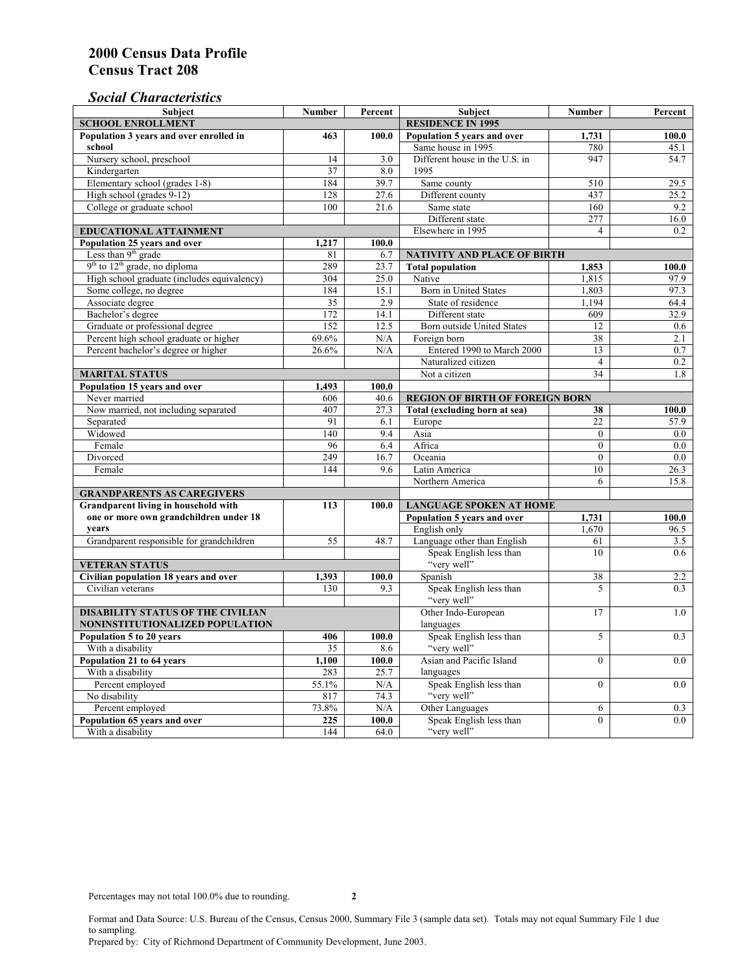# *Social Characteristics*

| <b>Subject</b>                              | <b>Number</b>                  | Percent             | <b>Subject</b>                         | <b>Number</b>            | Percent |
|---------------------------------------------|--------------------------------|---------------------|----------------------------------------|--------------------------|---------|
| <b>SCHOOL ENROLLMENT</b>                    | <b>RESIDENCE IN 1995</b>       |                     |                                        |                          |         |
| Population 3 years and over enrolled in     | 463                            | 100.0               | Population 5 years and over            | 1,731                    | 100.0   |
| school                                      |                                |                     | Same house in 1995                     | 780                      | 45.1    |
| Nursery school, preschool                   | 14                             | 3.0                 | Different house in the U.S. in         | 947                      | 54.7    |
| Kindergarten                                | 37                             | 8.0                 | 1995                                   |                          |         |
| Elementary school (grades 1-8)              | 184                            | 39.7                | Same county                            | 510                      | 29.5    |
| High school (grades 9-12)                   | 128                            | 27.6                | Different county                       | 437                      | 25.2    |
| College or graduate school                  | 100                            | 21.6                | Same state                             | 160                      | 9.2     |
|                                             |                                |                     | Different state                        | 277                      | 16.0    |
| EDUCATIONAL ATTAINMENT                      |                                |                     | Elsewhere in 1995                      | $\overline{\mathcal{L}}$ | 0.2     |
| Population 25 years and over                | 1,217                          | 100.0               |                                        |                          |         |
| Less than 9 <sup>th</sup> grade             | 81                             | 6.7                 | <b>NATIVITY AND PLACE OF BIRTH</b>     |                          |         |
| $9th$ to $12th$ grade, no diploma           | 289                            | 23.7                | <b>Total population</b>                | 1,853                    | 100.0   |
| High school graduate (includes equivalency) | 304                            | 25.0                | Native                                 | 1,815                    | 97.9    |
| Some college, no degree                     | 184                            | 15.1                | Born in United States                  | 1,803                    | 97.3    |
| Associate degree                            | 35                             | 2.9                 | State of residence                     | 1,194                    | 64.4    |
| Bachelor's degree                           | 172                            | 14.1                | Different state                        | 609                      | 32.9    |
| Graduate or professional degree             | 152                            | 12.5                | <b>Born outside United States</b>      | 12                       | 0.6     |
| Percent high school graduate or higher      | 69.6%                          | N/A                 | Foreign born                           | 38                       | 2.1     |
| Percent bachelor's degree or higher         | 26.6%                          | N/A                 | Entered 1990 to March 2000             | 13                       | 0.7     |
|                                             |                                |                     | Naturalized citizen                    | $\overline{4}$           | 0.2     |
| <b>MARITAL STATUS</b>                       |                                |                     | Not a citizen                          | 34                       | 1.8     |
| Population 15 years and over                | 1,493                          | 100.0               |                                        |                          |         |
| Never married                               | 606                            | 40.6                | <b>REGION OF BIRTH OF FOREIGN BORN</b> |                          |         |
| Now married, not including separated        | 407                            | 27.3                | Total (excluding born at sea)          | 38                       | 100.0   |
| Separated                                   | 91                             | 6.1                 | Europe                                 | 22                       | 57.9    |
| Widowed                                     | 140                            | 9.4                 | Asia                                   | $\theta$                 | $0.0\,$ |
| Female                                      | 96                             | 6.4                 | Africa                                 | $\theta$                 | 0.0     |
| Divorced                                    | 249                            | 16.7                | Oceania                                | $\mathbf{0}$             | 0.0     |
| Female                                      | 144                            | 9.6                 | Latin America                          | 10                       | 26.3    |
|                                             |                                |                     | Northern America                       | 6                        | 15.8    |
| <b>GRANDPARENTS AS CAREGIVERS</b>           |                                |                     |                                        |                          |         |
| Grandparent living in household with        | <b>LANGUAGE SPOKEN AT HOME</b> |                     |                                        |                          |         |
| one or more own grandchildren under 18      |                                |                     | Population 5 years and over            | 1,731                    | 100.0   |
| years                                       |                                |                     | English only                           | 1.670                    | 96.5    |
| Grandparent responsible for grandchildren   | 55                             | 48.7                | Language other than English            | 61                       | 3.5     |
|                                             |                                |                     | Speak English less than                | 10                       | 0.6     |
| <b>VETERAN STATUS</b>                       |                                |                     | "very well"                            |                          |         |
| Civilian population 18 years and over       | 1,393                          | 100.0               | Spanish                                | 38                       | 2.2     |
| Civilian veterans                           | 130                            | 9.3                 | Speak English less than                | 5                        | 0.3     |
|                                             |                                |                     | "very well"                            |                          |         |
| <b>DISABILITY STATUS OF THE CIVILIAN</b>    |                                | Other Indo-European | 17                                     | 1.0                      |         |
| NONINSTITUTIONALIZED POPULATION             |                                | languages           |                                        |                          |         |
| Population 5 to 20 years                    | 406                            | 100.0               | Speak English less than                | 5                        | 0.3     |
| With a disability                           | 35                             | 8.6                 | "very well"                            |                          |         |
| Population 21 to 64 years                   | 1.100                          | 100.0               | Asian and Pacific Island               | $\theta$                 | 0.0     |
| With a disability                           | 283                            | 25.7                | languages                              |                          |         |
| Percent employed                            | 55.1%                          | N/A                 | Speak English less than                | $\mathbf{0}$             | 0.0     |
| No disability                               | 817                            | 74.3                | "very well"                            |                          |         |
| Percent employed                            | 73.8%                          | N/A                 | Other Languages                        | 6                        | 0.3     |
| Population 65 years and over                | 225                            | 100.0               | Speak English less than                | $\mathbf{0}$             | 0.0     |
| With a disability                           | 144                            | 64.0                | "very well"                            |                          |         |

Format and Data Source: U.S. Bureau of the Census, Census 2000, Summary File 3 (sample data set). Totals may not equal Summary File 1 due to sampling.

Prepared by: City of Richmond Department of Community Development, June 2003.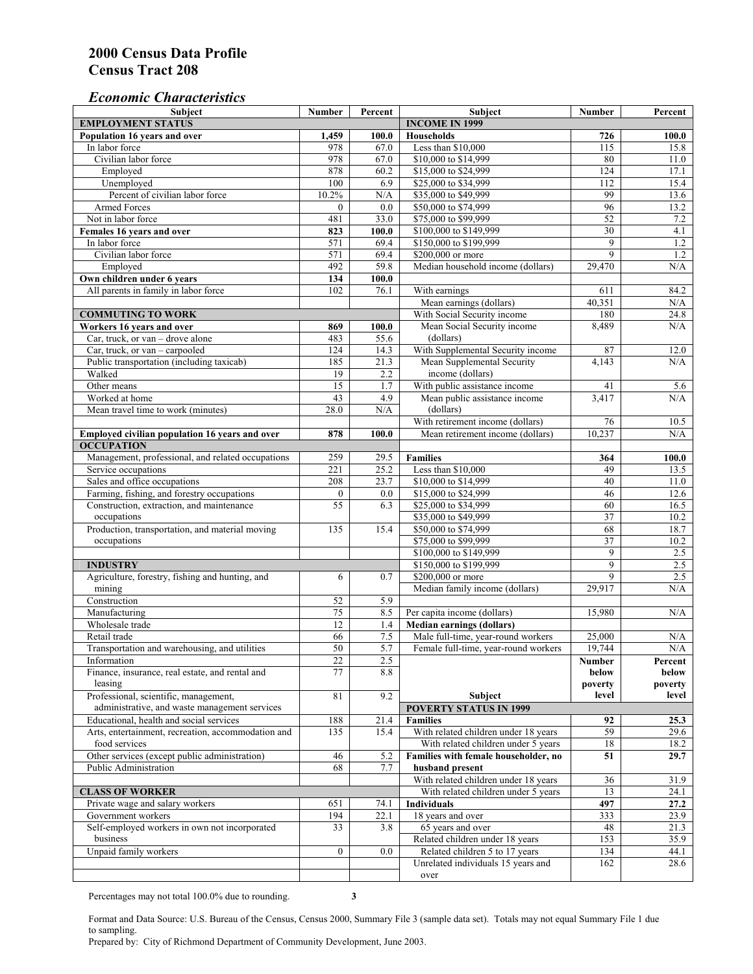# *Economic Characteristics*

| Subject                                                                                | <b>Number</b>    | Percent        | Subject                                                                    | <b>Number</b>    | Percent          |
|----------------------------------------------------------------------------------------|------------------|----------------|----------------------------------------------------------------------------|------------------|------------------|
| <b>EMPLOYMENT STATUS</b>                                                               |                  |                | <b>INCOME IN 1999</b>                                                      |                  |                  |
| Population 16 years and over                                                           | 1,459            | 100.0          | <b>Households</b>                                                          | 726              | 100.0            |
| In labor force                                                                         | 978              | 67.0           | Less than \$10,000                                                         | 115              | 15.8             |
| Civilian labor force                                                                   | 978              | 67.0           | \$10,000 to \$14,999                                                       | 80               | 11.0             |
| Employed                                                                               | 878              | 60.2           | \$15,000 to \$24,999                                                       | 124              | 17.1             |
| Unemployed                                                                             | 100              | 6.9            | \$25,000 to \$34,999                                                       | 112              | 15.4             |
| Percent of civilian labor force                                                        | 10.2%            | N/A            | \$35,000 to \$49,999                                                       | 99               | 13.6             |
| <b>Armed Forces</b>                                                                    | $\mathbf{0}$     | 0.0            | \$50,000 to \$74,999                                                       | 96               | 13.2             |
| Not in labor force                                                                     | 481              | 33.0           | \$75,000 to \$99,999                                                       | 52               | $7.2\,$          |
| Females 16 years and over                                                              | 823              | 100.0          | \$100,000 to \$149,999                                                     | 30               | 4.1              |
| In labor force                                                                         | 571              | 69.4           | \$150,000 to \$199,999                                                     | 9                | $1.2$            |
| Civilian labor force                                                                   | 571              | 69.4           | \$200,000 or more                                                          | 9                | 1.2              |
| Employed                                                                               | 492              | 59.8           | Median household income (dollars)                                          | 29,470           | N/A              |
| Own children under 6 years                                                             | 134              | 100.0          |                                                                            |                  |                  |
| All parents in family in labor force                                                   | 102              | 76.1           | With earnings                                                              | 611              | 84.2             |
|                                                                                        |                  |                | Mean earnings (dollars)                                                    | 40,351           | N/A              |
| <b>COMMUTING TO WORK</b>                                                               |                  |                | With Social Security income                                                | 180              | 24.8             |
| Workers 16 years and over                                                              | 869              | 100.0          | Mean Social Security income                                                | 8,489            | N/A              |
| Car, truck, or van – drove alone                                                       | 483              | 55.6           | (dollars)                                                                  |                  |                  |
| Car, truck, or $van - carpooled$                                                       | 124              | 14.3           | With Supplemental Security income                                          | 87               | 12.0             |
| Public transportation (including taxicab)                                              | 185              | 21.3           | Mean Supplemental Security                                                 | 4,143            | N/A              |
| Walked                                                                                 | 19               | 2.2            | income (dollars)                                                           |                  |                  |
| Other means                                                                            | 15               | 1.7            | With public assistance income                                              | 41               | 5.6              |
| Worked at home                                                                         | 43               | 4.9            | Mean public assistance income                                              | 3,417            | N/A              |
| Mean travel time to work (minutes)                                                     | 28.0             | N/A            | (dollars)                                                                  |                  |                  |
|                                                                                        |                  |                | With retirement income (dollars)                                           | 76               | 10.5             |
| Employed civilian population 16 years and over                                         | 878              | 100.0          | Mean retirement income (dollars)                                           | 10,237           | N/A              |
| <b>OCCUPATION</b>                                                                      |                  |                |                                                                            |                  |                  |
| Management, professional, and related occupations                                      | 259              | 29.5           | <b>Families</b>                                                            | 364              | 100.0            |
| Service occupations                                                                    | 221              | 25.2           | Less than \$10,000                                                         | 49               | 13.5             |
| Sales and office occupations                                                           | 208              | 23.7           | \$10,000 to \$14,999                                                       | 40               | 11.0             |
| Farming, fishing, and forestry occupations                                             | $\boldsymbol{0}$ | 0.0            | \$15,000 to \$24,999                                                       | 46               | 12.6             |
| Construction, extraction, and maintenance                                              | $\overline{55}$  | 6.3            | \$25,000 to \$34,999                                                       | 60               | 16.5             |
| occupations                                                                            |                  |                | \$35,000 to \$49,999                                                       | 37               | 10.2             |
| Production, transportation, and material moving                                        | 135              | 15.4           | \$50,000 to \$74,999                                                       | 68               | 18.7             |
| occupations                                                                            |                  |                | \$75,000 to \$99,999                                                       | 37               | 10.2             |
|                                                                                        |                  |                | \$100,000 to \$149,999                                                     | 9                | 2.5              |
| <b>INDUSTRY</b>                                                                        |                  |                | \$150,000 to \$199,999                                                     | 9                | 2.5              |
| Agriculture, forestry, fishing and hunting, and                                        | 6                | 0.7            | \$200,000 or more                                                          | 9                | 2.5              |
| mining                                                                                 |                  |                | Median family income (dollars)                                             | 29,917           | N/A              |
| Construction                                                                           | 52               | 5.9            |                                                                            |                  |                  |
| Manufacturing                                                                          | $\overline{75}$  | 8.5            | Per capita income (dollars)                                                | 15,980           | N/A              |
| Wholesale trade                                                                        | 12               |                |                                                                            |                  |                  |
| Retail trade                                                                           |                  | 1.4            | <b>Median earnings (dollars)</b>                                           |                  |                  |
|                                                                                        | 66<br>50         | $7.5\,$<br>5.7 | Male full-time, year-round workers<br>Female full-time, year-round workers | 25,000<br>19,744 | N/A<br>$\rm N/A$ |
| Transportation and warehousing, and utilities                                          |                  |                |                                                                            |                  |                  |
| Information<br>Finance, insurance, real estate, and rental and                         | 22<br>77         | 2.5<br>8.8     |                                                                            | Number           | Percent          |
|                                                                                        |                  |                |                                                                            | below            | below            |
| leasing                                                                                | 81               | 9.2            | Subject                                                                    | poverty<br>level | poverty<br>level |
| Professional, scientific, management,<br>administrative, and waste management services |                  |                | <b>POVERTY STATUS IN 1999</b>                                              |                  |                  |
| Educational, health and social services                                                |                  |                |                                                                            |                  |                  |
|                                                                                        | 188              | 21.4           | <b>Families</b>                                                            | 92               | 25.3             |
| Arts, entertainment, recreation, accommodation and<br>food services                    | 135              | 15.4           | With related children under 18 years                                       | 59               | 29.6             |
|                                                                                        |                  |                | With related children under 5 years                                        | 18               | 18.2             |
| Other services (except public administration)<br>Public Administration                 | 46               | 5.2            | Families with female householder, no                                       | 51               | 29.7             |
|                                                                                        | 68               | 7.7            | husband present                                                            |                  |                  |
|                                                                                        |                  |                | With related children under 18 years                                       | 36               | 31.9             |
| <b>CLASS OF WORKER</b>                                                                 |                  |                | With related children under 5 years                                        | 13               | 24.1             |
| Private wage and salary workers                                                        | 651              | 74.1           | <b>Individuals</b>                                                         | 497              | 27.2             |
| Government workers                                                                     | 194              | 22.1           | 18 years and over                                                          | 333              | 23.9             |
| Self-employed workers in own not incorporated                                          | 33               | 3.8            | 65 years and over                                                          | 48               | 21.3             |
| business                                                                               |                  |                | Related children under 18 years                                            | 153              | 35.9             |
| Unpaid family workers                                                                  | $\overline{0}$   | 0.0            | Related children 5 to 17 years                                             | 134              | 44.1             |
|                                                                                        |                  |                | Unrelated individuals 15 years and                                         | 162              | 28.6             |
|                                                                                        |                  |                | over                                                                       |                  |                  |

Percentages may not total 100.0% due to rounding. **3** 

Format and Data Source: U.S. Bureau of the Census, Census 2000, Summary File 3 (sample data set). Totals may not equal Summary File 1 due to sampling.

Prepared by: City of Richmond Department of Community Development, June 2003.